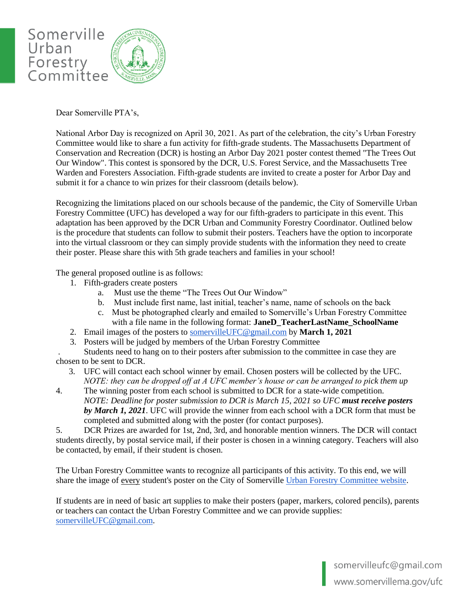

Dear Somerville PTA's,

National Arbor Day is recognized on April 30, 2021. As part of the celebration, the city's Urban Forestry Committee would like to share a fun activity for fifth-grade students. The Massachusetts Department of Conservation and Recreation (DCR) is hosting an Arbor Day 2021 poster contest themed "The Trees Out Our Window". This contest is sponsored by the DCR, U.S. Forest Service, and the Massachusetts Tree Warden and Foresters Association. Fifth-grade students are invited to create a poster for Arbor Day and submit it for a chance to win prizes for their classroom (details below).

Recognizing the limitations placed on our schools because of the pandemic, the City of Somerville Urban Forestry Committee (UFC) has developed a way for our fifth-graders to participate in this event. This adaptation has been approved by the DCR Urban and Community Forestry Coordinator. Outlined below is the procedure that students can follow to submit their posters. Teachers have the option to incorporate into the virtual classroom or they can simply provide students with the information they need to create their poster. Please share this with 5th grade teachers and families in your school!

The general proposed outline is as follows:

- 1. Fifth-graders create posters
	- a. Must use the theme "The Trees Out Our Window"
	- b. Must include first name, last initial, teacher's name, name of schools on the back
	- c. Must be photographed clearly and emailed to Somerville's Urban Forestry Committee with a file name in the following format: **JaneD\_TeacherLastName\_SchoolName**
- 2. Email images of the posters to [somervilleUFC@gmail.com](mailto:somervilleUFC@gmail.com) by **March 1, 2021**
- 3. Posters will be judged by members of the Urban Forestry Committee

. Students need to hang on to their posters after submission to the committee in case they are chosen to be sent to DCR.

- 3. UFC will contact each school winner by email. Chosen posters will be collected by the UFC.  *NOTE: they can be dropped off at A UFC member's house or can be arranged to pick them up*
- 4. The winning poster from each school is submitted to DCR for a state-wide competition. *NOTE: Deadline for poster submission to DCR is March 15, 2021 so UFC must receive posters by March 1, 2021*. UFC will provide the winner from each school with a DCR form that must be completed and submitted along with the poster (for contact purposes).

5. DCR Prizes are awarded for 1st, 2nd, 3rd, and honorable mention winners. The DCR will contact students directly, by postal service mail, if their poster is chosen in a winning category. Teachers will also be contacted, by email, if their student is chosen.

The Urban Forestry Committee wants to recognize all participants of this activity. To this end, we will share the image of every student's poster on the City of Somerville [Urban Forestry Committee website.](https://www.somervillema.gov/departments/urban-forestry-committee#tab#:~:text=About%20the%20Urban%20Forestry%20Committee%20The%20Urban%20Forestry,all%20public%20grounds%20and%20public%20ways%20in%20Somerville.)

If students are in need of basic art supplies to make their posters (paper, markers, colored pencils), parents or teachers can contact the Urban Forestry Committee and we can provide supplies: [somervilleUFC@gmail.com.](mailto:somervilleUFC@gmail.com)